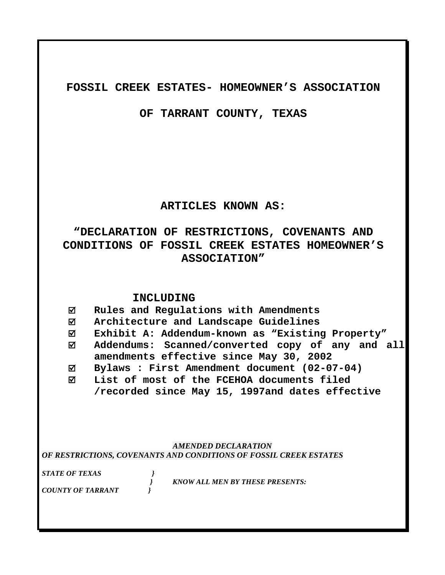# **FOSSIL CREEK ESTATES- HOMEOWNER'S ASSOCIATION**

**OF TARRANT COUNTY, TEXAS** 

# **ARTICLES KNOWN AS:**

# **"DECLARATION OF RESTRICTIONS, COVENANTS AND CONDITIONS OF FOSSIL CREEK ESTATES HOMEOWNER'S ASSOCIATION"**

# **INCLUDING**

; **Rules and Regulations with Amendments** 

; **Architecture and Landscape Guidelines** 

- ; **Exhibit A: Addendum-known as "Existing Property"**
- ; **Addendums: Scanned/converted copy of any and all amendments effective since May 30, 2002**
- ; **Bylaws : First Amendment document (02-07-04)**
- ; **List of most of the FCEHOA documents filed /recorded since May 15, 1997and dates effective**

# *AMENDED DECLARATION OF RESTRICTIONS, COVENANTS AND CONDITIONS OF FOSSIL CREEK ESTATES*

*STATE OF TEXAS }* 

 *} KNOW ALL MEN BY THESE PRESENTS:* 

*COUNTY OF TARRANT }*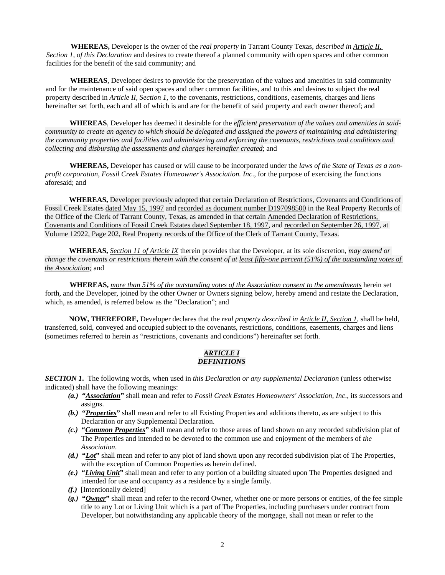**WHEREAS,** Developer is the owner of the *real property* in Tarrant County Texas, *described in Article II, Section 1, of this Declaration* and desires to create thereof a planned community with open spaces and other common facilities for the benefit of the said community; and

**WHEREAS**, Developer desires to provide for the preservation of the values and amenities in said community and for the maintenance of said open spaces and other common facilities, and to this and desires to subject the real property described in *Article II, Section 1*, to the covenants, restrictions, conditions, easements, charges and liens hereinafter set forth, each and all of which is and are for the benefit of said property and each owner thereof; and

**WHEREAS**, Developer has deemed it desirable for the *efficient preservation of the values and amenities in saidcommunity to create an agency to which should be delegated and assigned the powers of maintaining and administering the community properties and facilities and administering and enforcing the covenants, restrictions and conditions and collecting and disbursing the assessments and charges hereinafter created*; and

**WHEREAS,** Developer has caused or will cause to be incorporated under the *laws of the State of Texas as a nonprofit corporation*, *Fossil Creek Estates Homeowner's Association. Inc*., for the purpose of exercising the functions aforesaid; and

**WHEREAS,** Developer previously adopted that certain Declaration of Restrictions, Covenants and Conditions of Fossil Creek Estates dated May 15, 1997 and recorded as document number D197098500 in the Real Property Records of the Office of the Clerk of Tarrant County, Texas, as amended in that certain Amended Declaration of Restrictions, Covenants and Conditions of Fossil Creek Estates dated September 18, 1997, and recorded on September 26, 1997, at Volume 12922, Page 202, Real Property records of the Office of the Clerk of Tarrant County, Texas.

**WHEREAS,** *Section 11 of Article IX* therein provides that the Developer, at its sole discretion, *may amend or change the covenants or restrictions therein with the consent of at least fifty-one percent (51%) of the outstanding votes of the Association;* and

**WHEREAS,** *more than 51% of the outstanding votes of the Association consent to the amendments* herein set forth, and the Developer, joined by the other Owner or Owners signing below, hereby amend and restate the Declaration, which, as amended, is referred below as the "Declaration"; and

**NOW, THEREFORE,** Developer declares that the *real property described in Article II, Section 1*, shall be held, transferred, sold, conveyed and occupied subject to the covenants, restrictions, conditions, easements, charges and liens (sometimes referred to herein as "restrictions, covenants and conditions") hereinafter set forth.

### *ARTICLE I DEFINITIONS*

*SECTION 1***.** The following words, when used in *this Declaration or any supplemental Declaration* (unless otherwise indicated) shall have the following meanings:

- *(a.)* **"***Association***"** shall mean and refer to *Fossil Creek Estates Homeowners' Association, Inc*., its successors and assigns.
- *(b.)* **"***Properties***"** shall mean and refer to all Existing Properties and additions thereto, as are subject to this Declaration or any Supplemental Declaration.
- *(c.)* **"***Common Properties***"** shall mean and refer to those areas of land shown on any recorded subdivision plat of The Properties and intended to be devoted to the common use and enjoyment of the members of *the Association*.
- *(d.)* **"***Lot***"** shall mean and refer to any plot of land shown upon any recorded subdivision plat of The Properties, with the exception of Common Properties as herein defined.
- *(e.)* **"***Living Unit***"** shall mean and refer to any portion of a building situated upon The Properties designed and intended for use and occupancy as a residence by a single family.
- *(f.)* [Intentionally deleted]
- *(g.)* **"***Owner***"** shall mean and refer to the record Owner, whether one or more persons or entities, of the fee simple title to any Lot or Living Unit which is a part of The Properties, including purchasers under contract from Developer, but notwithstanding any applicable theory of the mortgage, shall not mean or refer to the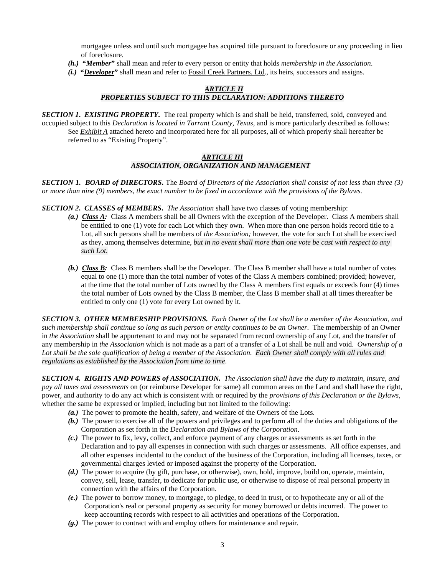mortgagee unless and until such mortgagee has acquired title pursuant to foreclosure or any proceeding in lieu of foreclosure.

- *(h.)* **"***Member***"** shall mean and refer to every person or entity that holds *membership in the Association*.
- *(i.)* **"***Developer***"** shall mean and refer to Fossil Creek Partners. Ltd., its heirs, successors and assigns.

#### *ARTICLE II PROPERTIES SUBJECT TO THIS DECLARATION: ADDITIONS THERETO*

*SECTION 1***.** *EXISTING PROPERTY***.** The real property which is and shall be held, transferred, sold, conveyed and occupied subject to this *Declaration is located in Tarrant County, Texas*, and is more particularly described as follows: See *Exhibit A* attached hereto and incorporated here for all purposes, all of which properly shall hereafter be referred to as "Existing Property".

### *ARTICLE III ASSOCIATION, ORGANIZATION AND MANAGEMENT*

*SECTION 1.**BOARD of DIRECTORS***.** The *Board of Directors of the Association shall consist of not less than three (3) or more than nine (9) members, the exact number to be fixed in accordance with the provisions of the Bylaws.*

*SECTION 2***.** *CLASSES of MEMBERS***.** *The Association* shall have two classes of voting membership:

- *(a.) Class A:* Class A members shall be all Owners with the exception of the Developer. Class A members shall be entitled to one (1) vote for each Lot which they own. When more than one person holds record title to a Lot, all such persons shall be members of *the Association;* however, the vote for such Lot shall be exercised as they, among themselves determine, *but in no event shall more than one vote be cast with respect to any such Lot.*
- *(b.) Class B:* Class B members shall be the Developer. The Class B member shall have a total number of votes equal to one (1) more than the total number of votes of the Class A members combined; provided; however, at the time that the total number of Lots owned by the Class A members first equals or exceeds four (4) times the total number of Lots owned by the Class B member, the Class B member shall at all times thereafter be entitled to only one (1) vote for every Lot owned by it.

*SECTION 3. OTHER MEMBERSHIP PROVISIONS. Each Owner of the Lot shall be a member of the Association, and such membership shall continue so long as such person or entity continues to be an Owner*. The membership of an Owner in *the Association* shall be appurtenant to and may not be separated from record ownership of any Lot, and the transfer of any membership in *the Association* which is not made as a part of a transfer of a Lot shall be null and void. *Ownership of a Lot shall be the sole qualification of being a member of the Association*. *Each Owner shall comply with all rules and regulations as established by the Association from time to time*.

*SECTION 4. RIGHTS AND POWERS of ASSOCIATION. The Association shall have the duty to maintain, insure, and pay all taxes and assessments* on (or reimburse Developer for same) all common areas on the Land and shall have the right, power, and authority to do any act which is consistent with or required by the *provisions of this Declaration or the Bylaws*, whether the same be expressed or implied, including but not limited to the following:

- *(a.)* The power to promote the health, safety, and welfare of the Owners of the Lots.
- *(b.)* The power to exercise all of the powers and privileges and to perform all of the duties and obligations of the Corporation as set forth in the *Declaration and Bylaws of the Corporation*.
- *(c.)* The power to fix, levy, collect, and enforce payment of any charges or assessments as set forth in the Declaration and to pay all expenses in connection with such charges or assessments. All office expenses, and all other expenses incidental to the conduct of the business of the Corporation, including all licenses, taxes, or governmental charges levied or imposed against the property of the Corporation.
- *(d.)* The power to acquire (by gift, purchase, or otherwise), own, hold, improve, build on, operate, maintain, convey, sell, lease, transfer, to dedicate for public use, or otherwise to dispose of real personal property in connection with the affairs of the Corporation.
- *(e.)* The power to borrow money, to mortgage, to pledge, to deed in trust, or to hypothecate any or all of the Corporation's real or personal property as security for money borrowed or debts incurred. The power to keep accounting records with respect to all activities and operations of the Corporation.
- *(g.)* The power to contract with and employ others for maintenance and repair.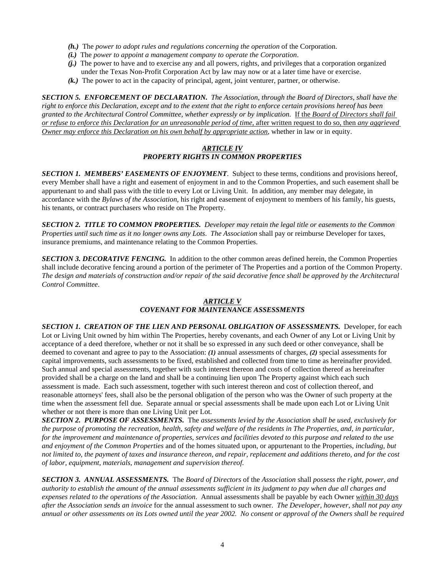- *(h.)* The *power to adopt rules and regulations concerning the operation* of the Corporation.
- *(i.)* The *power to appoint a management company to operate the Corporation*.
- *(j.)* The power to have and to exercise any and all powers, rights, and privileges that a corporation organized under the Texas Non-Profit Corporation Act by law may now or at a later time have or exercise.
- *(k.)* The power to act in the capacity of principal, agent, joint venturer, partner, or otherwise.

*SECTION 5. ENFORCEMENT OF DECLARATION.**The Association*, *through the Board of Directors*, *shall have the right to enforce this Declaration, except and to the extent that the right to enforce certain provisions hereof has been granted to the Architectural Control Committee, whether expressly or by implication*. If the *Board of Directors shall fail or refuse to enforce this Declaration for an unreasonable period of time*, after written request to do so, then *any aggrieved Owner may enforce this Declaration on his own behalf by appropriate action*, whether in law or in equity.

### *ARTICLE IV PROPERTY RIGHTS IN COMMON PROPERTIES*

*SECTION 1. MEMBERS' EASEMENTS OF ENJOYMENT*. Subject to these terms, conditions and provisions hereof, every Member shall have a right and easement of enjoyment in and to the Common Properties, and such easement shall be appurtenant to and shall pass with the title to every Lot or Living Unit. In addition, any member may delegate, in accordance with the *Bylaws of the Association*, his right and easement of enjoyment to members of his family, his guests, his tenants, or contract purchasers who reside on The Property.

*SECTION 2. TITLE TO COMMON PROPERTIES. Developer may retain the legal title or easements to the Common Properties until such time as it no longer owns any Lots*. *The Association* shall pay or reimburse Developer for taxes, insurance premiums, and maintenance relating to the Common Properties.

*SECTION 3. DECORATIVE FENCING.* In addition to the other common areas defined herein, the Common Properties shall include decorative fencing around a portion of the perimeter of The Properties and a portion of the Common Property. *The design and materials of construction and/or repair of the said decorative fence shall be approved by the Architectural Control Committee*.

## *ARTICLE V*

### *COVENANT FOR MAINTENANCE ASSESSMENTS*

*SECTION 1. CREATION OF THE LIEN AND PERSONAL OBLIGATION OF ASSESSMENTS.* Developer, for each Lot or Living Unit owned by him within The Properties, hereby covenants, and each Owner of any Lot or Living Unit by acceptance of a deed therefore, whether or not it shall be so expressed in any such deed or other conveyance, shall be deemed to covenant and agree to pay to the Association: *(1)* annual assessments of charges, *(2)* special assessments for capital improvements, such assessments to be fixed, established and collected from time to time as hereinafter provided. Such annual and special assessments, together with such interest thereon and costs of collection thereof as hereinafter provided shall be a charge on the land and shall be a continuing lien upon The Property against which each such assessment is made. Each such assessment, together with such interest thereon and cost of collection thereof, and reasonable attorneys' fees, shall also be the personal obligation of the person who was the Owner of such property at the time when the assessment fell due. Separate annual or special assessments shall be made upon each Lot or Living Unit whether or not there is more than one Living Unit per Lot.

*SECTION 2. PURPOSE OF ASSESSMENTS.* The *assessments levied by the Association shall be used, exclusively for the purpose of promoting the recreation, health, safety and welfare of the residents in The Properties, and, in particular, for the improvement and maintenance of properties, services and facilities devoted to this purpose and related to the use and enjoyment of the Common Properties* and of the homes situated upon, or appurtenant to the Properties, *including, but not limited to, the payment of taxes and insurance thereon, and repair, replacement and additions thereto, and for the cost of labor, equipment, materials, management and supervision thereof*.

*SECTION 3. ANNUAL ASSESSMENTS.*The *Board of Directors* of the *Association* shall *possess the right, power, and authority to establish the amount of the annual assessments sufficient in its judgment to pay when due all charges and expenses related to the operations of the Association*. Annual assessments shall be payable by each Owner *within 30 days after the Association sends an invoice* for the annual assessment to such owner. *The Developer, however, shall not pay any annual or other assessments on its Lots owned until the year 2002. No consent or approval of the Owners shall be required*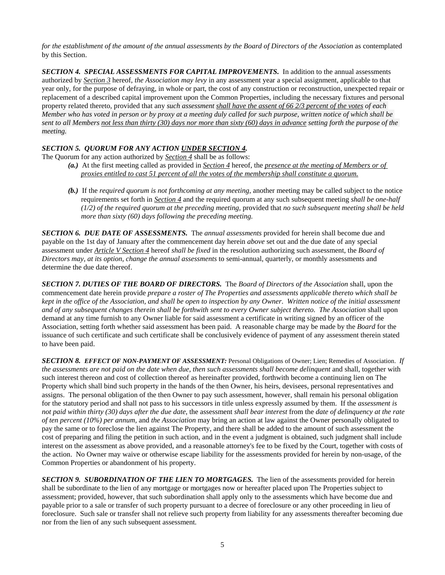*for the establishment of the amount of the annual assessments by the Board of Directors of the Association* as contemplated by this Section.

*SECTION 4. SPECIAL ASSESSMENTS FOR CAPITAL IMPROVEMENTS.* In addition to the annual assessments authorized by *Section 3* hereof, *the Association may levy* in any assessment year a special assignment, applicable to that year only, for the purpose of defraying, in whole or part, the cost of any construction or reconstruction, unexpected repair or replacement of a described capital improvement upon the Common Properties, including the necessary fixtures and personal property related thereto, provided that any *such assessment shall have the assent of 66 2/3 percent of the votes of each Member who has voted in person or by proxy at a meeting duly called for such purpose, written notice of which shall be sent to all Members not less than thirty (30) days nor more than sixty (60) days in advance setting forth the purpose of the meeting.* 

### *SECTION 5. QUORUM FOR ANY ACTION UNDER SECTION 4.*

The Quorum for any action authorized by *Section 4* shall be as follows:

- *(a.)* At the first meeting called as provided in *Section 4* hereof, the *presence at the meeting of Members or of proxies entitled to cast 51 percent of all the votes of the membership shall constitute a quorum.*
- *(b.)* If the *required quorum is not forthcoming at any meeting*, another meeting may be called subject to the notice requirements set forth in *Section 4* and the required quorum at any such subsequent meeting *shall be one-half (1/2) of the required quorum at the preceding meeting,* provided that *no such subsequent meeting shall be held more than sixty (60) days following the preceding meeting.*

*SECTION 6. DUE DATE OF ASSESSMENTS.* The *annual assessments* provided for herein shall become due and payable on the 1st day of January after the commencement day herein *above* set out and the due date of any special assessment under *Article V Section 4* hereof *shall be fixed* in the resolution authorizing such assessment, the *Board of Directors may, at its option, change the annual assessments* to semi-annual, quarterly, or monthly assessments and determine the due date thereof.

*SECTION 7. DUTIES OF THE BOARD OF DIRECTORS.* The *Board of Directors of the Association* shall, upon the commencement date herein provide *prepare a roster of The Properties and assessments applicable thereto which shall be kept in the office of the Association, and shall be open to inspection by any Owner*. *Written notice of the initial assessment and of any subsequent changes therein shall be forthwith sent to every Owner subject thereto*. *The Association* shall upon demand at any time furnish to any Owner liable for said assessment a certificate in writing signed by an officer of the Association, setting forth whether said assessment has been paid. A reasonable charge may be made by the *Board* for the issuance of such certificate and such certificate shall be conclusively evidence of payment of any assessment therein stated to have been paid.

*SECTION 8. EFFECT OF NON-PAYMENT OF ASSESSMENT:* Personal Obligations of Owner; Lien; Remedies of Association. *If the assessments are not paid on the date when due, then such assessments shall become delinquent* and shall, together with such interest thereon and cost of collection thereof as hereinafter provided, forthwith become a continuing lien on The Property which shall bind such property in the hands of the then Owner, his heirs, devisees, personal representatives and assigns. The personal obligation of the then Owner to pay such assessment, however, shall remain his personal obligation for the statutory period and shall not pass to his successors in title unless expressly assumed by them. If the *assessment is not paid within thirty (30) days after the due date*, the assessment *shall bear interest* from the *date of delinquency at the rate of ten percent (10%) per annum,* and *the Association* may bring an action at law against the Owner personally obligated to pay the same or to foreclose the lien against The Property, and there shall be added to the amount of such assessment the cost of preparing and filing the petition in such action, and in the event a judgment is obtained, such judgment shall include interest on the assessment as above provided, and a reasonable attorney's fee to be fixed by the Court, together with costs of the action. No Owner may waive or otherwise escape liability for the assessments provided for herein by non-usage, of the Common Properties or abandonment of his property.

*SECTION 9. SUBORDINATION OF THE LIEN TO MORTGAGES.* The lien of the assessments provided for herein shall be subordinate to the lien of any mortgage or mortgages now or hereafter placed upon The Properties subject to assessment; provided, however, that such subordination shall apply only to the assessments which have become due and payable prior to a sale or transfer of such property pursuant to a decree of foreclosure or any other proceeding in lieu of foreclosure. Such sale or transfer shall not relieve such property from liability for any assessments thereafter becoming due nor from the lien of any such subsequent assessment.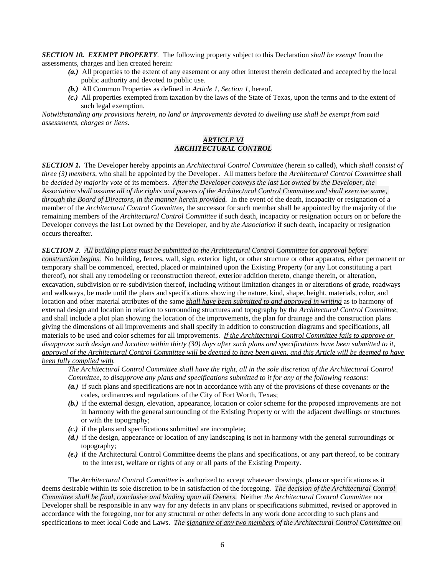*SECTION 10. EXEMPT PROPERTY.* The following property subject to this Declaration *shall be exempt* from the assessments, charges and lien created herein:

- *(a.)* All properties to the extent of any easement or any other interest therein dedicated and accepted by the local public authority and devoted to public use.
- *(b.)* All Common Properties as defined in *Article 1, Section 1*, hereof.
- *(c.)* All properties exempted from taxation by the laws of the State of Texas, upon the terms and to the extent of such legal exemption.

*Notwithstanding any provisions herein, no land or improvements devoted to dwelling use shall be exempt from said assessments, charges or liens*.

### *ARTICLE VI ARCHITECTURAL CONTROL*

*SECTION 1.* The Developer hereby appoints an *Architectural Control Committee* (herein so called), which *shall consist of three (3) members*, who shall be appointed by the Developer. All matters before the *Architectural Control Committee* shall be *decided by majority vote* of its members. *After the Developer conveys the last Lot owned by the Developer, the Association shall assume all of the rights and powers of the Architectural Control Committee and shall exercise same, through the Board of Directors, in the manner herein provided.* In the event of the death, incapacity or resignation of a member of the *Architectural Control Committee*, the successor for such member shall be appointed by the majority of the remaining members of the *Architectural Control Committee* if such death, incapacity or resignation occurs on or before the Developer conveys the last Lot owned by the Developer, and by *the Association* if such death, incapacity or resignation occurs thereafter.

*SECTION 2. All building plans must be submitted to the Architectural Control Committee* for *approval before construction begins*. No building, fences, wall, sign, exterior light, or other structure or other apparatus, either permanent or temporary shall be commenced, erected, placed or maintained upon the Existing Property (or any Lot constituting a part thereof), nor shall any remodeling or reconstruction thereof, exterior addition thereto, change therein, or alteration, excavation, subdivision or re-subdivision thereof, including without limitation changes in or alterations of grade, roadways and walkways, be made until the plans and specifications showing the nature, kind, shape, height, materials, color, and location and other material attributes of the same *shall have been submitted to and approved in writing* as to harmony of external design and location in relation to surrounding structures and topography by the *Architectural Control Committee*; and shall include a plot plan showing the location of the improvements, the plan for drainage and the construction plans giving the dimensions of all improvements and shall specify in addition to construction diagrams and specifications, all materials to be used and color schemes for all improvements. *If the Architectural Control Committee fails to approve or disapprove such design and location within thirty (30) days after such plans and specifications have been submitted to it*, *approval of the Architectural Control Committee will be deemed to have been given*, *and this Article will be deemed to have been fully complied with.* 

*The Architectural Control Committee shall have the right, all in the sole discretion of the Architectural Control Committee, to disapprove any plans and specifications submitted to it for any of the following reasons:*

- *(a.)* if such plans and specifications are not in accordance with any of the provisions of these covenants or the codes, ordinances and regulations of the City of Fort Worth, Texas;
- *(b.)* if the external design, elevation, appearance, location or color scheme for the proposed improvements are not in harmony with the general surrounding of the Existing Property or with the adjacent dwellings or structures or with the topography;
- *(c.)* if the plans and specifications submitted are incomplete;
- *(d.)* if the design, appearance or location of any landscaping is not in harmony with the general surroundings or topography;
- *(e.)* if the Architectural Control Committee deems the plans and specifications, or any part thereof, to be contrary to the interest, welfare or rights of any or all parts of the Existing Property.

The *Architectural Control Committee* is authorized to accept whatever drawings, plans or specifications as it deems desirable within its sole discretion to be in satisfaction of the foregoing. *The decision of the Architectural Control Committee shall be final, conclusive and binding upon all Owners*. Neither *the Architectural Control Committee* nor Developer shall be responsible in any way for any defects in any plans or specifications submitted, revised or approved in accordance with the foregoing, nor for any structural or other defects in any work done according to such plans and specifications to meet local Code and Laws. *The signature of any two members of the Architectural Control Committee on*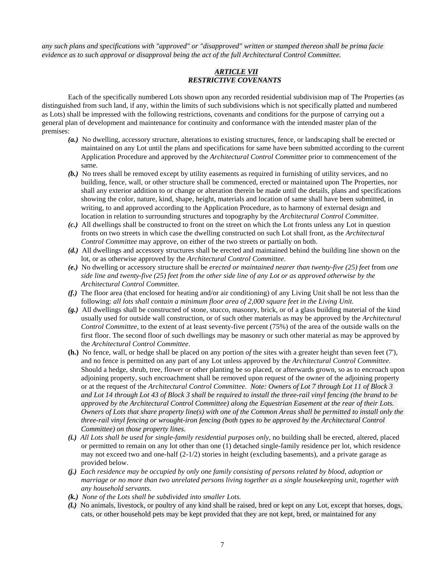*any such plans and specifications with "approved" or "disapproved" written or stamped thereon shall be prima facie evidence as to such approval or disapproval being the act of the full Architectural Control Committee.* 

### *ARTICLE VII RESTRICTIVE COVENANTS*

Each of the specifically numbered Lots shown upon any recorded residential subdivision map of The Properties (as distinguished from such land, if any, within the limits of such subdivisions which is not specifically platted and numbered as Lots) shall be impressed with the following restrictions, covenants and conditions for the purpose of carrying out a general plan of development and maintenance for continuity and conformance with the intended master plan of the premises:

- *(a.)* No dwelling, accessory structure, alterations to existing structures, fence, or landscaping shall be erected or maintained on any Lot until the plans and specifications for same have been submitted according to the current Application Procedure and approved by the *Architectural Control Committee* prior to commencement of the same.
- *(b.)* No trees shall be removed except by utility easements as required in furnishing of utility services, and no building, fence, wall, or other structure shall be commenced, erected or maintained upon The Properties, nor shall any exterior addition to or change or alteration therein be made until the details, plans and specifications showing the color, nature, kind, shape, height, materials and location of same shall have been submitted, in writing, to and approved according to the Application Procedure, as to harmony of external design and location in relation to surrounding structures and topography by the *Architectural Control Committee*.
- *(c.)* All dwellings shall be constructed to front on the street on which the Lot fronts unless any Lot in question fronts on two streets in which case the dwelling constructed on such Lot shall front, as the *Architectural Control Committee* may approve, on either of the two streets or partially on both.
- *(d.)* All dwellings and accessory structures shall be erected and maintained behind the building line shown on the lot, or as otherwise approved by the *Architectural Control Committee*.
- *(e.)* No dwelling or accessory structure shall be *erected or maintained nearer than twenty-five (25) feet* from *one side line and twenty-five (25) feet from the other side line of any Lot or as approved otherwise by the Architectural Control Committee*.
- *(f.)* The floor area (that enclosed for heating and/or air conditioning) of any Living Unit shall be not less than the following: *all lots shall contain a minimum floor area of 2,000 square feet in the Living Unit.*
- *(g.)* All dwellings shall be constructed of stone, stucco, masonry, brick, or of a glass building material of the kind usually used for outside wall construction, or of such other materials as may be approved by the *Architectural Control Committee*, to the extent of at least seventy-five percent (75%) of the area of the outside walls on the first floor. The second floor of such dwellings may be masonry or such other material as may be approved by the *Architectural Control Committee*.
- **(h.)** No fence, wall, or hedge shall be placed on any portion *of* the sites with a greater height than seven feet (7'), and no fence is permitted on any part of any Lot unless approved by the *Architectural Control Committee*. Should a hedge, shrub, tree, flower or other planting be so placed, or afterwards grown, so as to encroach upon adjoining property, such encroachment shall be removed upon request of the owner of the adjoining property or at the request of the *Architectural Control Committee*. *Note: Owners of Lot 7 through Lot 11 of Block 3 and Lot 14 through Lot 43 of Block 3 shall be required to install the three-rail vinyl fencing (the brand to be approved by the Architectural Control Committee) along the Equestrian Easement at the rear of their Lots. Owners of Lots that share property line(s) with one of the Common Areas shall be permitted to install only the three-rail vinyl fencing or wrought-iron fencing (both types to be approved by the Architectural Control Committee) on those property lines.*
- *(i.) All Lots shall be used for single-family residential purposes only*, no building shall be erected, altered, placed or permitted to remain on any lot other than one (1) detached single-family residence per lot, which residence may not exceed two and one-half (2-1/2) stories in height (excluding basements), and a private garage as provided below.
- *(j.) Each residence may be occupied by only one family consisting of persons related by blood, adoption or marriage or no more than two unrelated persons living together as a single housekeeping unit, together with any household servants.*
- *(k.) None of the Lots shall be subdivided into smaller Lots.*
- *(l.)* No animals, livestock, or poultry of any kind shall be raised, bred or kept on any Lot, except that horses, dogs, cats, or other household pets may be kept provided that they are not kept, bred, or maintained for any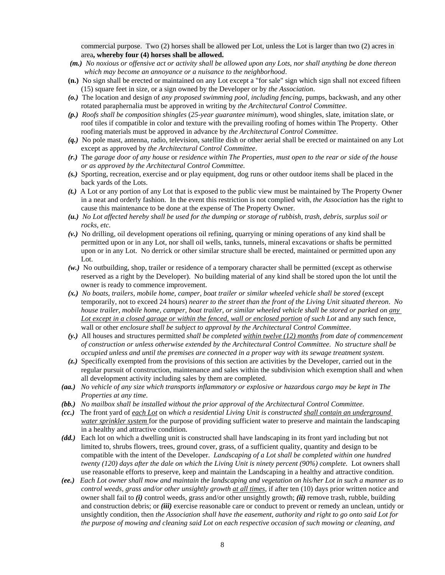commercial purpose. Two (2) horses shall be allowed per Lot, unless the Lot is larger than two (2) acres in area**, whereby four (4) horses shall be allowed.** 

- *(m.) No noxious or offensive act or activity shall be allowed upon any Lots, nor shall anything be done thereon which may become an annoyance or a nuisance to the neighborhood*.
- **(n.)** No sign shall be erected or maintained on any Lot except a "for sale" sign which sign shall not exceed fifteen (15) square feet in size, or a sign owned by the Developer or by *the Association*.
- *(o.)* The location and design of *any proposed swimming pool, including fencing*, pumps, backwash, and any other rotated paraphernalia must be approved in writing by *the Architectural Control Committee*.
- *(p.) Roofs shall be composition shingles* (*25-year guarantee minimum*), wood shingles, slate, imitation slate, or roof tiles if compatible in color and texture with the prevailing roofing of homes within The Property. Other roofing materials must be approved in advance by *the Architectural Control Committee*.
- *(q.)* No pole mast, antenna, radio, television, satellite dish or other aerial shall be erected or maintained on any Lot except as approved by *the Architectural Control Committee*.
- *(r.)* The *garage door of any house* or *residence within The Properties*, *must open to the rear or side of the house or as approved by the Architectural Control Committee.*
- *(s.)* Sporting, recreation, exercise and or play equipment, dog runs or other outdoor items shall be placed in the back yards of the Lots.
- *(t.)* A Lot or any portion of any Lot that is exposed to the public view must be maintained by The Property Owner in a neat and orderly fashion. In the event this restriction is not complied with, *the Association* has the right to cause this maintenance to be done at the expense of The Property Owner.
- *(u.) No Lot affected hereby shall be used for the dumping or storage of rubbish, trash, debris, surplus soil or rocks, etc.*
- *(v.)* No drilling, oil development operations oil refining, quarrying or mining operations of any kind shall be permitted upon or in any Lot, nor shall oil wells, tanks, tunnels, mineral excavations or shafts be permitted upon or in any Lot. No derrick or other similar structure shall be erected, maintained or permitted upon any Lot.
- *(w.)* No outbuilding, shop, trailer or residence of a temporary character shall be permitted (except as otherwise reserved as a right by the Developer). No building material of any kind shall be stored upon the lot until the owner is ready to commence improvement.
- *(x.) No boats, trailers, mobile home, camper, boat trailer or similar wheeled vehicle shall be stored* (except temporarily, not to exceed 24 hours) *nearer to the street than the front of the Living Unit situated thereon*. *No house trailer, mobile home, camper, boat trailer, or similar wheeled vehicle shall be stored or parked on any Lot except in a closed garage or within the fenced, wall or enclosed portion of such Lot* and any such fence, wall or other *enclosure shall be subject to approval by the Architectural Control Committee*.
- *(y.)* All houses and structures permitted *shall be completed within twelve (12) months from date of commencement of construction or unless otherwise extended by the Architectural Control Committee*. *No structure shall be occupied unless and until the premises are connected in a proper way with its sewage treatment system.*
- *(z.)* Specifically exempted from the provisions of this section are activities by the Developer, carried out in the regular pursuit of construction, maintenance and sales within the subdivision which exemption shall and when all development activity including sales by them are completed.
- *(aa.) No vehicle of any size which transports inflammatory or explosive or hazardous cargo may be kept in The Properties at any time*.
- *(bb.) No mailbox shall be installed without the prior approval of the Architectural Control Committee.*
- *(cc.)* The front yard of *each Lot* on *which a residential Living Unit is constructed shall contain an underground water sprinkler system* for the purpose of providing sufficient water to preserve and maintain the landscaping in a healthy and attractive condition.
- *(dd.)* Each lot on which a dwelling unit is constructed shall have landscaping in its front yard including but not limited to, shrubs flowers, trees, ground cover, grass, of a sufficient quality, quantity and design to be compatible with the intent of the Developer. *Landscaping of a Lot shall be completed within one hundred twenty (120) days after the dale on which the Living Unit is ninety percent (90%) complete.* Lot owners shall use reasonable efforts to preserve, keep and maintain the Landscaping in a healthy and attractive condition.
- *(ee.) Each Lot owner shall mow and maintain the landscaping and vegetation on his/her Lot in such a manner as to control weeds, grass and/or other unsightly growth at all times*, if after ten (10) days prior written notice and owner shall fail to *(i)* control weeds, grass and/or other unsightly growth; *(ii)* remove trash, rubble, building and construction debris; or *(iii)* exercise reasonable care or conduct to prevent or remedy an unclean, untidy or unsightly condition, then *the Association shall have the easement, authority and right to go onto said Lot for the purpose of mowing and cleaning said Lot on each respective occasion of such mowing or cleaning, and*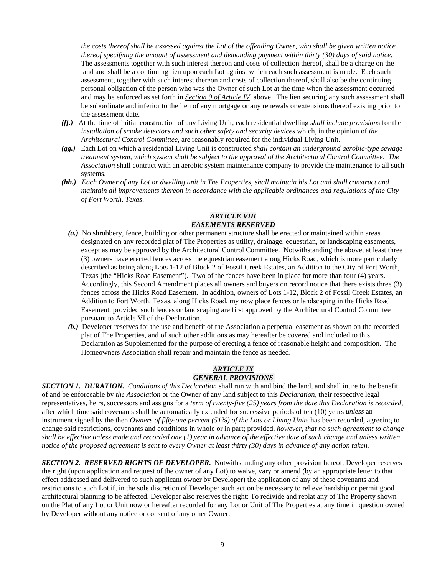*the costs thereof shall be assessed against the Lot of the offending Owner*, *who shall be given written notice thereof specifying the amount of assessment and demanding payment within thirty (30) days of said notice*. The assessments together with such interest thereon and costs of collection thereof, shall be a charge on the land and shall be a continuing lien upon each Lot against which each such assessment is made. Each such assessment, together with such interest thereon and costs of collection thereof, shall also be the continuing personal obligation of the person who was the Owner of such Lot at the time when the assessment occurred and may be enforced as set forth in *Section 9 of Article IV*, above. The lien securing any such assessment shall be subordinate and inferior to the lien of any mortgage or any renewals or extensions thereof existing prior to the assessment date.

- *(ff.)* At the time of initial construction of any Living Unit, each residential dwelling *shall include provisions* for the *installation of smoke detectors and such other safety and security devices* which, in the opinion of *the Architectural Control Committee*, are reasonably required for the individual Living Unit.
- *(gg.)* Each Lot on which a residential Living Unit is constructed *shall contain an underground aerobic-type sewage treatment system, which system shall be subject to the approval of the Architectural Control Committee*. *The Association* shall contract with an aerobic system maintenance company to provide the maintenance to all such systems.
- *(hh.) Each Owner of any Lot or dwelling unit in The Properties, shall maintain his Lot and shall construct and maintain all improvements thereon in accordance with the applicable ordinances and regulations of the City of Fort Worth, Texas*.

### *ARTICLE VIII EASEMENTS RESERVED*

- *(a.)* No shrubbery, fence, building or other permanent structure shall be erected or maintained within areas designated on any recorded plat of The Properties as utility, drainage, equestrian, or landscaping easements, except as may be approved by the Architectural Control Committee. Notwithstanding the above, at least three (3) owners have erected fences across the equestrian easement along Hicks Road, which is more particularly described as being along Lots 1-12 of Block 2 of Fossil Creek Estates, an Addition to the City of Fort Worth, Texas (the "Hicks Road Easement"). Two of the fences have been in place for more than four (4) years. Accordingly, this Second Amendment places all owners and buyers on record notice that there exists three (3) fences across the Hicks Road Easement. In addition, owners of Lots 1-12, Block 2 of Fossil Creek Estates, an Addition to Fort Worth, Texas, along Hicks Road, my now place fences or landscaping in the Hicks Road Easement, provided such fences or landscaping are first approved by the Architectural Control Committee pursuant to Article VI of the Declaration.
- *(b.)* Developer reserves for the use and benefit of the Association a perpetual easement as shown on the recorded plat of The Properties, and of such other additions as may hereafter be covered and included to this Declaration as Supplemented for the purpose of erecting a fence of reasonable height and composition. The Homeowners Association shall repair and maintain the fence as needed.

### *ARTICLE IX GENERAL PROVISIONS*

*SECTION 1. DURATION. Conditions of this Declaration* shall run with and bind the land, and shall inure to the benefit of and be enforceable by *the Association* or the Owner of any land subject to this *Declaration*, their respective legal representatives, heirs, successors and assigns for a *term of twenty-five (25) years from the date this Declaration is recorded*, after which time said covenants shall be automatically extended for successive periods of ten (10) years *unless* an instrument signed by the then *Owners of fifty-one percent (51%) of the Lots or Living Units* has been recorded, agreeing to change said restrictions, covenants and conditions in whole or in part; provided, *however, that no such agreement to change shall be effective unless made and recorded one (1) year in advance of the effective date of such change and unless written notice of the proposed agreement is sent to every Owner at least thirty (30) days in advance of any action taken.* 

*SECTION 2. RESERVED RIGHTS OF DEVELOPER.* Notwithstanding any other provision hereof, Developer reserves the right (upon application and request of the owner of any Lot) to waive, vary or amend (by an appropriate letter to that effect addressed and delivered to such applicant owner by Developer) the application of any of these covenants and restrictions to such Lot if, in the sole discretion of Developer such action be necessary to relieve hardship or permit good architectural planning to be affected. Developer also reserves the right: To redivide and replat any of The Property shown on the Plat of any Lot or Unit now or hereafter recorded for any Lot or Unit of The Properties at any time in question owned by Developer without any notice or consent of any other Owner.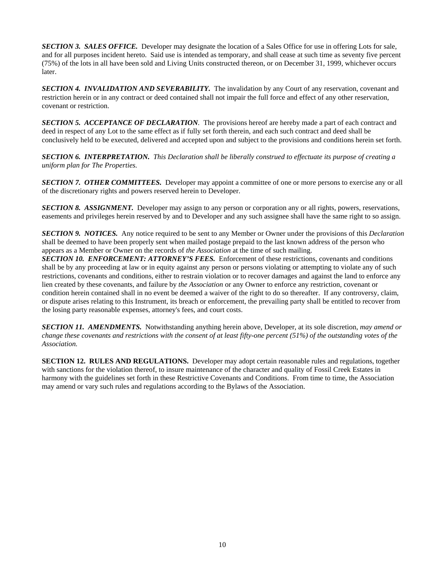*SECTION 3. SALES OFFICE.* Developer may designate the location of a Sales Office for use in offering Lots for sale, and for all purposes incident hereto. Said use is intended as temporary, and shall cease at such time as seventy five percent (75%) of the lots in all have been sold and Living Units constructed thereon, or on December 31, 1999, whichever occurs later.

*SECTION 4. INVALIDATION AND SEVERABILITY.* The invalidation by any Court of any reservation, covenant and restriction herein or in any contract or deed contained shall not impair the full force and effect of any other reservation, covenant or restriction.

*SECTION 5. ACCEPTANCE OF DECLARATION.* The provisions hereof are hereby made a part of each contract and deed in respect of any Lot to the same effect as if fully set forth therein, and each such contract and deed shall be conclusively held to be executed, delivered and accepted upon and subject to the provisions and conditions herein set forth.

*SECTION 6. INTERPRETATION. This Declaration shall be liberally construed to effectuate its purpose of creating a uniform plan for The Properties.*

*SECTION 7. OTHER COMMITTEES.* Developer may appoint a committee of one or more persons to exercise any or all of the discretionary rights and powers reserved herein to Developer.

*SECTION 8. ASSIGNMENT.* Developer may assign to any person or corporation any or all rights, powers, reservations, easements and privileges herein reserved by and to Developer and any such assignee shall have the same right to so assign.

*SECTION 9. NOTICES.* Any notice required to be sent to any Member or Owner under the provisions of this *Declaration* shall be deemed to have been properly sent when mailed postage prepaid to the last known address of the person who appears as a Member or Owner on the records of *the Association* at the time of such mailing.

**SECTION 10. ENFORCEMENT: ATTORNEY'S FEES.** Enforcement of these restrictions, covenants and conditions shall be by any proceeding at law or in equity against any person or persons violating or attempting to violate any of such restrictions, covenants and conditions, either to restrain violation or to recover damages and against the land to enforce any lien created by these covenants, and failure by *the Association* or any Owner to enforce any restriction, covenant or condition herein contained shall in no event be deemed a waiver of the right to do so thereafter. If any controversy, claim, or dispute arises relating to this Instrument, its breach or enforcement, the prevailing party shall be entitled to recover from the losing party reasonable expenses, attorney's fees, and court costs.

*SECTION 11. AMENDMENTS.* Notwithstanding anything herein above, Developer, at its sole discretion, *may amend or change these covenants and restrictions with the consent of at least fifty-one percent (51%) of the outstanding votes of the Association.* 

**SECTION 12. RULES AND REGULATIONS.** Developer may adopt certain reasonable rules and regulations, together with sanctions for the violation thereof, to insure maintenance of the character and quality of Fossil Creek Estates in harmony with the guidelines set forth in these Restrictive Covenants and Conditions. From time to time, the Association may amend or vary such rules and regulations according to the Bylaws of the Association.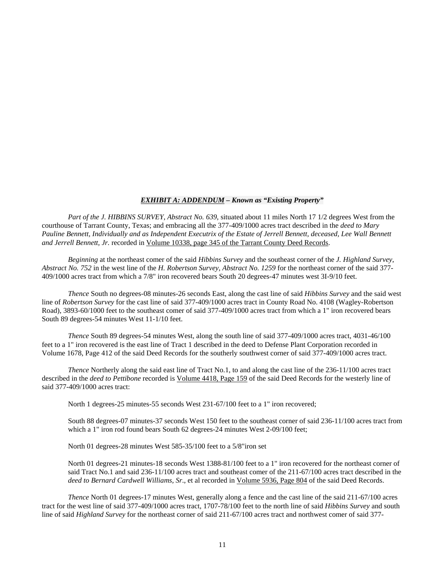#### *EXHIBIT A: ADDENDUM – Known as "Existing Property"*

*Part of the J. HIBBINS SURVEY, Abstract No. 639*, situated about 11 miles North 17 1/2 degrees West from the courthouse of Tarrant County, Texas; and embracing all the 377-409/1000 acres tract described in the *deed to Mary*  Pauline Bennett, Individually and as Independent Executrix of the Estate of Jerrell Bennett, deceased, Lee Wall Bennett *and Jerrell Bennett, Jr.* recorded in Volume 10338, page 345 of the Tarrant County Deed Records.

*Beginning* at the northeast comer of the said *Hibbins Survey* and the southeast corner of the *J. Highland Survey*, *Abstract No. 752* in the west line of the *H. Robertson Survey, Abstract No. 1259* for the northeast corner of the said 377- 409/1000 acres tract from which a 7/8" iron recovered bears South 20 degrees-47 minutes west 3I-9/10 feet.

*Thence* South no degrees-08 minutes-26 seconds East, along the cast line of said *Hibbins Survey* and the said west line of *Robertson Survey* for the cast line of said 377-409/1000 acres tract in County Road No. 4108 (Wagley-Robertson Road), 3893-60/1000 feet to the southeast comer of said 377-409/1000 acres tract from which a 1" iron recovered bears South 89 degrees-54 minutes West 11-1/10 feet.

*Thence* South 89 degrees-54 minutes West, along the south line of said 377-409/1000 acres tract, 4031-46/100 feet to a 1" iron recovered is the east line of Tract 1 described in the deed to Defense Plant Corporation recorded in Volume 1678, Page 412 of the said Deed Records for the southerly southwest corner of said 377-409/1000 acres tract.

*Thence* Northerly along the said east line of Tract No.1, to and along the cast line of the 236-11/100 acres tract described in the *deed to Pettibone* recorded is Volume 4418, Page 159 of the said Deed Records for the westerly line of said 377-409/1000 acres tract:

North 1 degrees-25 minutes-55 seconds West 231-67/100 feet to a 1" iron recovered;

South 88 degrees-07 minutes-37 seconds West 150 feet to the southeast corner of said 236-11/100 acres tract from which a 1" iron rod found bears South 62 degrees-24 minutes West 2-09/100 feet;

North 01 degrees-28 minutes West 585-35/100 feet to a 5/8"iron set

North 01 degrees-21 minutes-18 seconds West 1388-81/100 feet to a 1" iron recovered for the northeast corner of said Tract No.1 and said 236-11/100 acres tract and southeast comer of the 211-67/100 acres tract described in the *deed to Bernard Cardwell Williams, Sr*., et al recorded in Volume 5936, Page 804 of the said Deed Records.

*Thence* North 01 degrees-17 minutes West, generally along a fence and the cast line of the said 211-67/100 acres tract for the west line of said 377-409/1000 acres tract, 1707-78/100 feet to the north line of said *Hibbins Survey* and south line of said *Highland Survey* for the northeast corner of said 211-67/100 acres tract and northwest comer of said 377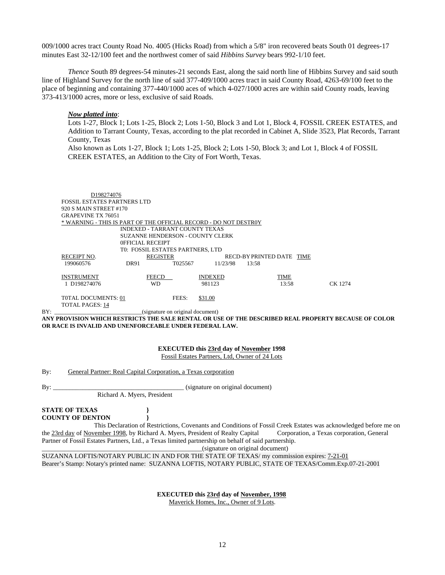009/1000 acres tract County Road No. 4005 (Hicks Road) from which a 5/8" iron recovered beats South 01 degrees-17 minutes East 32-12/100 feet and the northwest comer of said *Hibbins Survey* bears 992-1/10 feet.

*Thence* South 89 degrees-54 minutes-21 seconds East, along the said north line of Hibbins Survey and said south line of Highland Survey for the north line of said 377-409/1000 acres tract in said County Road, 4263-69/100 feet to the place of beginning and containing 377-440/1000 aces of which 4-027/1000 acres are within said County roads, leaving 373-413/1000 acres, more or less, exclusive of said Roads.

#### *Now platted into*:

Lots 1-27, Block 1; Lots 1-25, Block 2; Lots 1-50, Block 3 and Lot 1, Block 4, FOSSIL CREEK ESTATES, and Addition to Tarrant County, Texas, according to the plat recorded in Cabinet A, Slide 3523, Plat Records, Tarrant County, Texas

Also known as Lots 1-27, Block 1; Lots 1-25, Block 2; Lots 1-50, Block 3; and Lot 1, Block 4 of FOSSIL CREEK ESTATES, an Addition to the City of Fort Worth, Texas.

| D198274076                                                       |                 |         |                           |       |       |         |
|------------------------------------------------------------------|-----------------|---------|---------------------------|-------|-------|---------|
| <b>FOSSIL ESTATES PARTNERS LTD</b>                               |                 |         |                           |       |       |         |
| 920 S MAIN STREET #170                                           |                 |         |                           |       |       |         |
| <b>GRAPEVINE TX 76051</b>                                        |                 |         |                           |       |       |         |
| * WARNING - THIS IS PART OF THE OFFICIAL RECORD - DO NOT DESTROY |                 |         |                           |       |       |         |
| INDEXED - TARRANT COUNTY TEXAS                                   |                 |         |                           |       |       |         |
| SUZANNE HENDERSON - COUNTY CLERK                                 |                 |         |                           |       |       |         |
| <b>OFFICIAL RECEIPT</b>                                          |                 |         |                           |       |       |         |
| T0: FOSSIL ESTATES PARTNERS, LTD                                 |                 |         |                           |       |       |         |
| <b>RECEIPT NO.</b>                                               | <b>REGISTER</b> |         | RECD-BY PRINTED DATE TIME |       |       |         |
| 199060576                                                        | DR91            | T025567 | 11/23/98                  | 13:58 |       |         |
|                                                                  |                 |         |                           |       |       |         |
| <b>INSTRUMENT</b>                                                | <b>FEECD</b>    |         | <b>INDEXED</b>            |       | TIME  |         |
| 1 D198274076                                                     | WD              |         | 981123                    |       | 13:58 | CK 1274 |
| TOTAL DOCUMENTS: 01                                              |                 | FEES:   | \$31.00                   |       |       |         |
| <b>TOTAL PAGES: 14</b>                                           |                 |         |                           |       |       |         |

BY: \_\_\_\_\_\_\_\_\_\_\_\_\_\_\_\_\_\_\_\_\_\_\_\_\_\_\_\_\_\_\_\_\_(signature on original document)

**ANY PROVISION WHICH RESTRICTS THE SALE RENTAL OR USE OF THE DESCRIBED REAL PROPERTY BECAUSE OF COLOR OR RACE IS INVALID AND UNENFORCEABLE UNDER FEDERAL LAW.**

> **EXECUTED this 23rd day of November 1998**  Fossil Estates Partners, Ltd, Owner of 24 Lots

By: General Partner: Real Capital Corporation, a Texas corporation

By: \_\_\_\_\_\_\_\_\_\_\_\_\_\_\_\_\_\_\_\_\_\_\_\_\_\_\_\_\_\_\_\_\_\_\_\_\_\_\_\_ (signature on original document) Richard A. Myers, President

**STATE OF TEXAS } COUNTY OF DENTON }** 

 This Declaration of Restrictions, Covenants and Conditions of Fossil Creek Estates was acknowledged before me on the 23rd day of November 1998, by Richard A. Myers, President of Realty Capital Corporation, a Texas corporation, General Partner of Fossil Estates Partners, Ltd., a Texas limited partnership on behalf of said partnership.

\_\_\_\_\_\_\_\_\_\_\_\_\_\_\_\_\_\_\_\_\_\_\_\_\_\_\_\_\_\_\_\_\_\_\_\_\_\_\_\_\_\_\_\_\_\_\_\_\_(signature on original document)

SUZANNA LOFTIS/NOTARY PUBLIC IN AND FOR THE STATE OF TEXAS/ my commission expires: 7-21-01 Bearer's Stamp: Notary's printed name: SUZANNA LOFTIS, NOTARY PUBLIC, STATE OF TEXAS/Comm.Exp.07-21-2001

**EXECUTED this 23rd day of November, 1998**

Maverick Homes, Inc., Owner of 9 Lots.